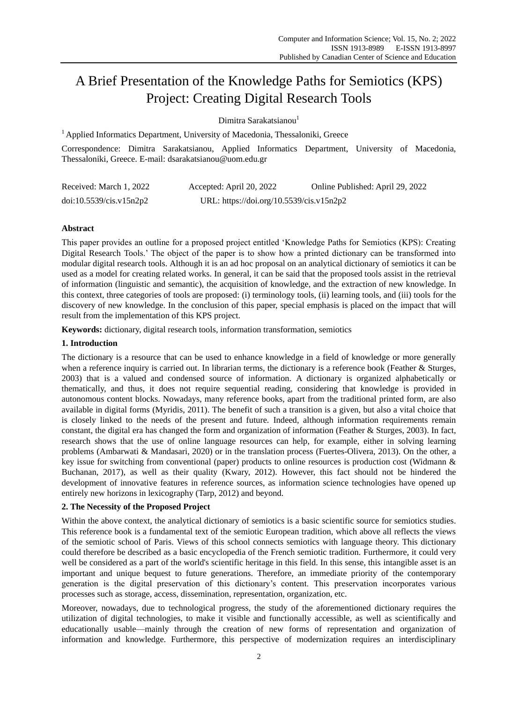# A Brief Presentation of the Knowledge Paths for Semiotics (KPS) Project: Creating Digital Research Tools

Dimitra Sarakatsianou<sup>1</sup>

 $<sup>1</sup>$  Applied Informatics Department, University of Macedonia, Thessaloniki, Greece</sup>

Correspondence: Dimitra Sarakatsianou, Applied Informatics Department, University of Macedonia, Thessaloniki, Greece. E-mail: dsarakatsianou@uom.edu.gr

| Received: March 1, 2022 | Accepted: April 20, 2022                 | Online Published: April 29, 2022 |
|-------------------------|------------------------------------------|----------------------------------|
| doi:10.5539/cis.v15n2p2 | URL: https://doi.org/10.5539/cis.v15n2p2 |                                  |

## **Abstract**

This paper provides an outline for a proposed project entitled "Knowledge Paths for Semiotics (KPS): Creating Digital Research Tools.' The object of the paper is to show how a printed dictionary can be transformed into modular digital research tools. Although it is an ad hoc proposal on an analytical dictionary of semiotics it can be used as a model for creating related works. In general, it can be said that the proposed tools assist in the retrieval of information (linguistic and semantic), the acquisition of knowledge, and the extraction of new knowledge. In this context, three categories of tools are proposed: (i) terminology tools, (ii) learning tools, and (iii) tools for the discovery of new knowledge. In the conclusion of this paper, special emphasis is placed on the impact that will result from the implementation of this KPS project.

**Keywords:** dictionary, digital research tools, information transformation, semiotics

#### **1. Introduction**

The dictionary is a resource that can be used to enhance knowledge in a field of knowledge or more generally when a reference inquiry is carried out. In librarian terms, the dictionary is a reference book (Feather & Sturges, 2003) that is a valued and condensed source of information. A dictionary is organized alphabetically or thematically, and thus, it does not require sequential reading, considering that knowledge is provided in autonomous content blocks. Nowadays, many reference books, apart from the traditional printed form, are also available in digital forms (Myridis, 2011). The benefit of such a transition is a given, but also a vital choice that is closely linked to the needs of the present and future. Indeed, although information requirements remain constant, the digital era has changed the form and organization of information (Feather & Sturges, 2003). In fact, research shows that the use of online language resources can help, for example, either in solving learning problems (Ambarwati & Mandasari, 2020) or in the translation process (Fuertes-Olivera, 2013). Οn the other, a key issue for switching from conventional (paper) products to online resources is production cost (Widmann & Buchanan, 2017), as well as their quality (Kwary, 2012). However, this fact should not be hindered the development of innovative features in reference sources, as information science technologies have opened up entirely new horizons in lexicography (Tarp, 2012) and beyond.

## **2. The Necessity of the Proposed Project**

Within the above context, the analytical dictionary of semiotics is a basic scientific source for semiotics studies. This reference book is a fundamental text of the semiotic European tradition, which above all reflects the views of the semiotic school of Paris. Views of this school connects semiotics with language theory. This dictionary could therefore be described as a basic encyclopedia of the French semiotic tradition. Furthermore, it could very well be considered as a part of the world's scientific heritage in this field. In this sense, this intangible asset is an important and unique bequest to future generations. Therefore, an immediate priority of the contemporary generation is the digital preservation of this dictionary"s content. This preservation incorporates various processes such as storage, access, dissemination, representation, organization, etc.

Moreover, nowadays, due to technological progress, the study of the aforementioned dictionary requires the utilization of digital technologies, to make it visible and functionally accessible, as well as scientifically and educationally usable—mainly through the creation of new forms of representation and organization of information and knowledge. Furthermore, this perspective of modernization requires an interdisciplinary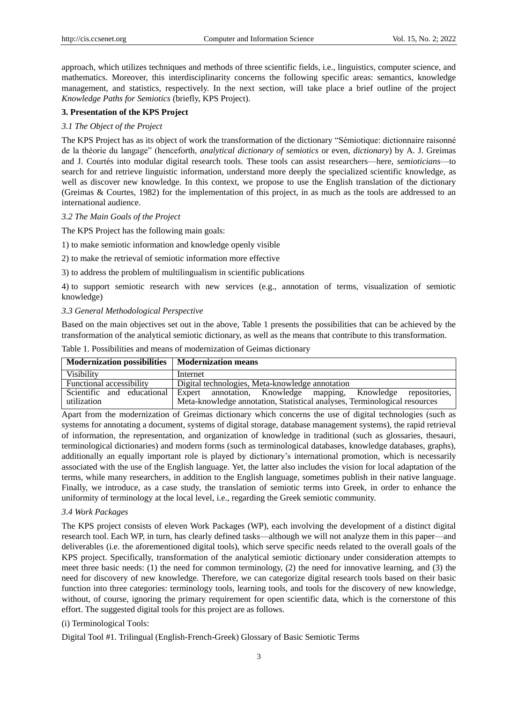approach, which utilizes techniques and methods of three scientific fields, i.e., linguistics, computer science, and mathematics. Moreover, this interdisciplinarity concerns the following specific areas: semantics, knowledge management, and statistics, respectively. In the next section, will take place a brief outline of the project *Knowledge Paths for Semiotics* (briefly, KPS Project).

#### **3. Presentation of the KPS Project**

#### *3.1 The Object of the Project*

The KPS Project has as its object of work the transformation of the dictionary "Sémiotique: dictionnaire raisonné de la théorie du langage" (henceforth, *analytical dictionary of semiotics* or even, *dictionary*) by A. J. Greimas and J. Courtés into modular digital research tools. These tools can assist researchers—here, *semioticians*—to search for and retrieve linguistic information, understand more deeply the specialized scientific knowledge, as well as discover new knowledge. In this context, we propose to use the English translation of the dictionary (Greimas & Courtes, 1982) for the implementation of this project, in as much as the tools are addressed to an international audience.

#### *3.2 The Main Goals of the Project*

The KPS Project has the following main goals:

1) to make semiotic information and knowledge openly visible

2) to make the retrieval of semiotic information more effective

3) to address the problem of multilingualism in scientific publications

4) to support semiotic research with new services (e.g., annotation of terms, visualization of semiotic knowledge)

#### *3.3 General Methodological Perspective*

Based on the main objectives set out in the above, Table 1 presents the possibilities that can be achieved by the transformation of the analytical semiotic dictionary, as well as the means that contribute to this transformation.

| Table 1. Possibilities and means of modernization of Geimas dictionary |
|------------------------------------------------------------------------|
|                                                                        |

| Modernization possibilities   Modernization means |                                                                                                                                                                       |
|---------------------------------------------------|-----------------------------------------------------------------------------------------------------------------------------------------------------------------------|
| <b>Visibility</b>                                 | Internet                                                                                                                                                              |
| Functional accessibility                          | Digital technologies, Meta-knowledge annotation                                                                                                                       |
| utilization                                       | Scientific and educational Expert annotation, Knowledge mapping, Knowledge repositories,<br>Meta-knowledge annotation, Statistical analyses, Terminological resources |

Apart from the modernization of Greimas dictionary which concerns the use of digital technologies (such as systems for annotating a document, systems of digital storage, database management systems), the rapid retrieval of information, the representation, and organization of knowledge in traditional (such as glossaries, thesauri, terminological dictionaries) and modern forms (such as terminological databases, knowledge databases, graphs), additionally an equally important role is played by dictionary"s international promotion, which is necessarily associated with the use of the English language. Yet, the latter also includes the vision for local adaptation of the terms, while many researchers, in addition to the English language, sometimes publish in their native language. Finally, we introduce, as a case study, the translation of semiotic terms into Greek, in order to enhance the uniformity of terminology at the local level, i.e., regarding the Greek semiotic community.

## *3.4 Work Packages*

The KPS project consists of eleven Work Packages (WP), each involving the development of a distinct digital research tool. Each WP, in turn, has clearly defined tasks—although we will not analyze them in this paper—and deliverables (i.e. the aforementioned digital tools), which serve specific needs related to the overall goals of the KPS project. Specifically, transformation of the analytical semiotic dictionary under consideration attempts to meet three basic needs: (1) the need for common terminology, (2) the need for innovative learning, and (3) the need for discovery of new knowledge. Therefore, we can categorize digital research tools based on their basic function into three categories: terminology tools, learning tools, and tools for the discovery of new knowledge, without, of course, ignoring the primary requirement for open scientific data, which is the cornerstone of this effort. The suggested digital tools for this project are as follows.

## (i) Terminological Τools:

Digital Tool #1. Trilingual (English-French-Greek) Glossary of Basic Semiotic Terms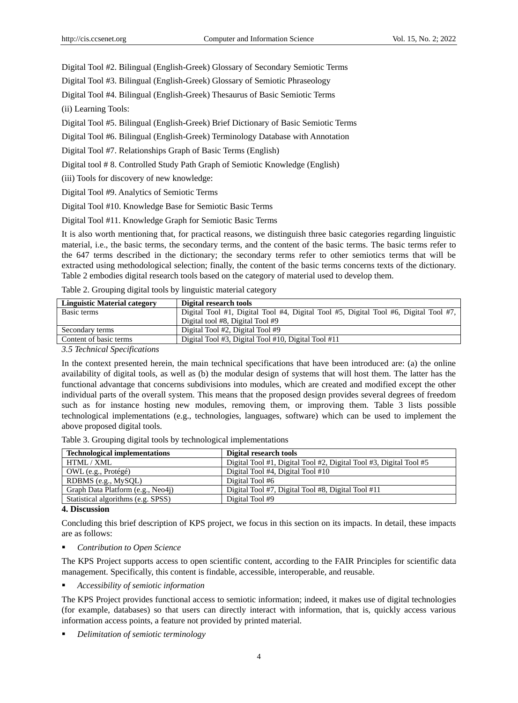Digital Tool #2. Bilingual (English-Greek) Glossary of Secondary Semiotic Terms

Digital Tool #3. Bilingual (English-Greek) Glossary of Semiotic Phraseology

Digital Tool #4. Bilingual (English-Greek) Τhesaurus of Basic Semiotic Terms

(ii) Learning Tools:

Digital Tool #5. Bilingual (English-Greek) Brief Dictionary of Basic Semiotic Terms

Digital Tool #6. Bilingual (English-Greek) Terminology Database with Annotation

Digital Tool #7. Relationships Graph of Basic Terms (English)

Digital tool # 8. Controlled Study Path Graph of Semiotic Knowledge (English)

(iii) Tools for discovery of new knowledge:

Digital Tool #9. Analytics of Semiotic Terms

Digital Tool #10. Knowledge Base for Semiotic Basic Terms

Digital Tool #11. Knowledge Graph for Semiotic Basic Terms

It is also worth mentioning that, for practical reasons, we distinguish three basic categories regarding linguistic material, i.e., the basic terms, the secondary terms, and the content of the basic terms. The basic terms refer to the 647 terms described in the dictionary; the secondary terms refer to other semiotics terms that will be extracted using methodological selection; finally, the content of the basic terms concerns texts of the dictionary. Table 2 embodies digital research tools based on the category of material used to develop them.

Table 2. Grouping digital tools by linguistic material category

| <b>Linguistic Material category</b> | Digital research tools                                                               |
|-------------------------------------|--------------------------------------------------------------------------------------|
| Basic terms                         | Digital Tool #1, Digital Tool #4, Digital Tool #5, Digital Tool #6, Digital Tool #7, |
|                                     | Digital tool #8, Digital Tool #9                                                     |
| Secondary terms                     | Digital Tool #2, Digital Tool #9                                                     |
| Content of basic terms              | Digital Tool #3, Digital Tool #10, Digital Tool #11                                  |
| _ _ _ _ _ _ _ _ _ _                 |                                                                                      |

*3.5 Technical Specifications* 

In the context presented herein, the main technical specifications that have been introduced are: (a) the online availability of digital tools, as well as (b) the modular design of systems that will host them. The latter has the functional advantage that concerns subdivisions into modules, which are created and modified except the other individual parts of the overall system. This means that the proposed design provides several degrees of freedom such as for instance hosting new modules, removing them, or improving them. Table 3 lists possible technological implementations (e.g., technologies, languages, software) which can be used to implement the above proposed digital tools.

Table 3. Grouping digital tools by technological implementations

| Digital research tools                                             |
|--------------------------------------------------------------------|
| Digital Tool #1, Digital Tool #2, Digital Tool #3, Digital Tool #5 |
| Digital Tool #4, Digital Tool #10                                  |
| Digital Tool #6                                                    |
| Digital Tool #7, Digital Tool #8, Digital Tool #11                 |
| Digital Tool #9                                                    |
|                                                                    |

**4. Discussion**

Concluding this brief description of KPS project, we focus in this section on its impacts. In detail, these impacts are as follows:

*Contribution to Open Science*

The KPS Project supports access to open scientific content, according to the FAIR Principles for scientific data management. Specifically, this content is findable, accessible, interoperable, and reusable.

*Accessibility of semiotic information*

The KPS Project provides functional access to semiotic information; indeed, it makes use of digital technologies (for example, databases) so that users can directly interact with information, that is, quickly access various information access points, a feature not provided by printed material.

*Delimitation of semiotic terminology*